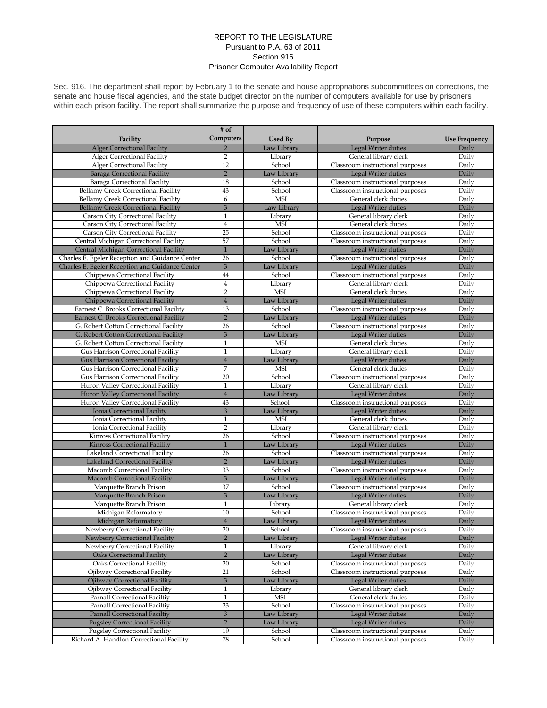## REPORT TO THE LEGISLATURE Pursuant to P.A. 63 of 2011 Section 916 Prisoner Computer Availability Report

Sec. 916. The department shall report by February 1 to the senate and house appropriations subcommittees on corrections, the senate and house fiscal agencies, and the state budget director on the number of computers available for use by prisoners within each prison facility. The report shall summarize the purpose and frequency of use of these computers within each facility.

|                                                 | # of           |                |                                  |                      |
|-------------------------------------------------|----------------|----------------|----------------------------------|----------------------|
| Facility                                        | Computers      | <b>Used By</b> | Purpose                          | <b>Use Frequency</b> |
| <b>Alger Correctional Facility</b>              | $\overline{2}$ | Law Library    | Legal Writer duties              | Daily                |
| Alger Correctional Facility                     | $\overline{2}$ | Library        | General library clerk            | Daily                |
| Alger Correctional Facility                     | 12             | School         | Classroom instructional purposes | Daily                |
| Baraga Correctional Facility                    | $\overline{2}$ | Law Library    | Legal Writer duties              | Daily                |
| Baraga Correctional Facility                    | 18             | School         | Classroom instructional purposes | Daily                |
| Bellamy Creek Correctional Facility             | 43             | School         | Classroom instructional purposes | Daily                |
| <b>Bellamy Creek Correctional Facility</b>      | 6              | <b>MSI</b>     | General clerk duties             | Daily                |
| <b>Bellamy Creek Correctional Facility</b>      | $\overline{3}$ | Law Library    | Legal Writer duties              | Daily                |
| Carson City Correctional Facility               | $\mathbf{1}$   | Library        | General library clerk            | Daily                |
| Carson City Correctional Facility               | $\bf{4}$       | <b>MSI</b>     | General clerk duties             | Daily                |
|                                                 | 25             | School         |                                  |                      |
| Carson City Correctional Facility               | 57             | School         | Classroom instructional purposes | Daily                |
| Central Michigan Correctional Facility          |                |                | Classroom instructional purposes | Daily                |
| Central Michigan Correctional Facility          | $\mathbf{1}$   | Law Library    | Legal Writer duties              | Daily                |
| Charles E. Egeler Reception and Guidance Center | 26             | School         | Classroom instructional purposes | Daily                |
| Charles E. Egeler Reception and Guidance Center | $\overline{3}$ | Law Library    | Legal Writer duties              | Daily                |
| Chippewa Correctional Facility                  | 44             | School         | Classroom instructional purposes | Daily                |
| Chippewa Correctional Facility                  | $\overline{4}$ | Library        | General library clerk            | Daily                |
| Chippewa Correctional Facility                  | $\overline{2}$ | <b>MSI</b>     | General clerk duties             | Daily                |
| Chippewa Correctional Facility                  | $\overline{4}$ | Law Library    | Legal Writer duties              | Daily                |
| Earnest C. Brooks Correctional Facility         | 13             | School         | Classroom instructional purposes | Daily                |
| Earnest C. Brooks Correctional Facility         | $\overline{2}$ | Law Library    | Legal Writer duties              | Daily                |
| G. Robert Cotton Correctional Facility          | 26             | School         | Classroom instructional purposes | Daily                |
| G. Robert Cotton Correctional Facility          | $\overline{3}$ | Law Library    | Legal Writer duties              | Daily                |
| G. Robert Cotton Correctional Facility          | $\mathbf{1}$   | <b>MSI</b>     | General clerk duties             | Daily                |
| Gus Harrison Correctional Facility              | $\mathbf{1}$   | Library        | General library clerk            | Daily                |
| <b>Gus Harrison Correctional Facility</b>       | $\overline{4}$ | Law Library    | Legal Writer duties              | Daily                |
| Gus Harrison Correctional Facility              | 7              | <b>MSI</b>     | General clerk duties             | Daily                |
| Gus Harrison Correctional Facility              | 20             | School         | Classroom instructional purposes | Daily                |
| Huron Valley Correctional Facility              | $\mathbf{1}$   | Library        | General library clerk            | Daily                |
| Huron Valley Correctional Facility              | $\overline{4}$ | Law Library    | Legal Writer duties              | Daily                |
| Huron Valley Correctional Facility              | 43             | School         | Classroom instructional purposes | Daily                |
| Ionia Correctional Facility                     | $\overline{3}$ | Law Library    | Legal Writer duties              | Daily                |
| Ionia Correctional Facility                     | $\mathbf{1}$   | <b>MSI</b>     | General clerk duties             | Daily                |
| Ionia Correctional Facility                     | $\overline{2}$ | Library        | General library clerk            | Daily                |
| Kinross Correctional Facility                   | 26             | School         | Classroom instructional purposes | Daily                |
| Kinross Correctional Facility                   | $\mathbf{1}$   | Law Library    | Legal Writer duties              | Daily                |
| Lakeland Correctional Facility                  | 26             | School         | Classroom instructional purposes | Daily                |
| Lakeland Correctional Facility                  | $\overline{2}$ | Law Library    | Legal Writer duties              | Daily                |
| Macomb Correctional Facility                    | 33             | School         | Classroom instructional purposes | Daily                |
| Macomb Correctional Facility                    | $\overline{3}$ | Law Library    |                                  | Daily                |
|                                                 |                | School         | Legal Writer duties              |                      |
| Marquette Branch Prison                         | 37             |                | Classroom instructional purposes | Daily                |
| Marquette Branch Prison                         | $\overline{3}$ | Law Library    | Legal Writer duties              | Daily                |
| Marquette Branch Prison                         | $\mathbf{1}$   | Library        | General library clerk            | Daily                |
| Michigan Reformatory                            | 10             | School         | Classroom instructional purposes | Daily                |
| Michigan Reformatory                            | $\overline{4}$ | Law Library    | Legal Writer duties              | Daily                |
| Newberry Correctional Facility                  | 20             | School         | Classroom instructional purposes | Daily                |
| Newberry Correctional Facility                  | $\overline{2}$ | Law Library    | Legal Writer duties              | Daily                |
| Newberry Correctional Facility                  | $\,1\,$        | Library        | General library clerk            | Daily                |
| <b>Oaks Correctional Facility</b>               | $\overline{2}$ | Law Library    | Legal Writer duties              | Daily                |
| Oaks Correctional Facility                      | 20             | School         | Classroom instructional purposes | Daily                |
| Ojibway Correctional Facility                   | 21             | School         | Classroom instructional purposes | Daily                |
| Ojibway Correctional Facility                   | $\mathfrak 3$  | Law Library    | Legal Writer duties              | Daily                |
| Ojibway Correctional Facility                   | $\mathbf{1}$   | Library        | General library clerk            | Daily                |
| Parnall Correctional Faciltiy                   | $\,1\,$        | <b>MSI</b>     | General clerk duties             | Daily                |
| Parnall Correctional Faciltiy                   | 23             | School         | Classroom instructional purposes | Daily                |
| <b>Parnall Correctional Faciltiv</b>            | $\mathfrak 3$  | Law Library    | Legal Writer duties              | Daily                |
| <b>Pugsley Correctional Facility</b>            | $\overline{2}$ | Law Library    | Legal Writer duties              | Daily                |
| <b>Pugsley Correctional Facility</b>            | 19             | School         | Classroom instructional purposes | Daily                |
| Richard A. Handlon Correctional Facility        | 78             | School         | Classroom instructional purposes | Daily                |
|                                                 |                |                |                                  |                      |